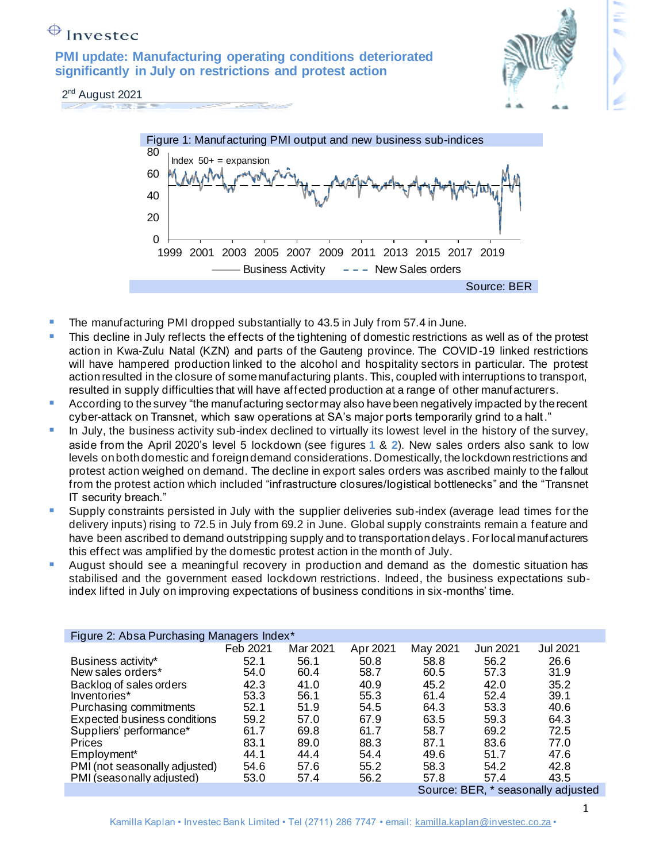# $\bigoplus$  Investec

**PMI update: Manufacturing operating conditions deteriorated significantly in July on restrictions and protest action**



2<sup>nd</sup> August 2021 **STATISTICS** 



- The manufacturing PMI dropped substantially to 43.5 in July from 57.4 in June.
- **This decline in July reflects the effects of the tightening of domestic restrictions as well as of the protest** action in Kwa-Zulu Natal (KZN) and parts of the Gauteng province. The COVID-19 linked restrictions will have hampered production linked to the alcohol and hospitality sectors in particular. The protest action resulted in the closure of some manufacturing plants. This, coupled with interruptions to transport, resulted in supply difficulties that will have affected production at a range of other manufacturers.
- According to the survey "the manufacturing sector may also have been negatively impacted by the recent cyber-attack on Transnet, which saw operations at SA's major ports temporarily grind to a halt."
- **.** In July, the business activity sub-index declined to virtually its lowest level in the history of the survey, aside from the April 2020's level 5 lockdown (see figures **1** & **2**). New sales orders also sank to low levels on both domestic and foreign demand considerations. Domestically, the lockdown restrictions and protest action weighed on demand. The decline in export sales orders was ascribed mainly to the fallout from the protest action which included "infrastructure closures/logistical bottlenecks" and the "Transnet IT security breach."
- **E** Supply constraints persisted in July with the supplier deliveries sub-index (average lead times for the delivery inputs) rising to 72.5 in July from 69.2 in June. Global supply constraints remain a feature and have been ascribed to demand outstripping supply and to transportation delays . For local manufacturers this effect was amplified by the domestic protest action in the month of July.
- August should see a meaningful recovery in production and demand as the domestic situation has stabilised and the government eased lockdown restrictions. Indeed, the business expectations subindex lifted in July on improving expectations of business conditions in six-months' time.

| Figure 2: Absa Purchasing Managers Index* |                                    |          |          |          |          |          |
|-------------------------------------------|------------------------------------|----------|----------|----------|----------|----------|
|                                           | Feb 2021                           | Mar 2021 | Apr 2021 | May 2021 | Jun 2021 | Jul 2021 |
| Business activity*                        | 52.1                               | 56.1     | 50.8     | 58.8     | 56.2     | 26.6     |
| New sales orders*                         | 54.0                               | 60.4     | 58.7     | 60.5     | 57.3     | 31.9     |
| Backlog of sales orders                   | 42.3                               | 41.0     | 40.9     | 45.2     | 42.0     | 35.2     |
| Inventories*                              | 53.3                               | 56.1     | 55.3     | 61.4     | 52.4     | 39.1     |
| Purchasing commitments                    | 52.1                               | 51.9     | 54.5     | 64.3     | 53.3     | 40.6     |
| Expected business conditions              | 59.2                               | 57.0     | 67.9     | 63.5     | 59.3     | 64.3     |
| Suppliers' performance*                   | 61.7                               | 69.8     | 61.7     | 58.7     | 69.2     | 72.5     |
| Prices                                    | 83.1                               | 89.0     | 88.3     | 87.1     | 83.6     | 77.0     |
| Employment <sup>*</sup>                   | 44.1                               | 44.4     | 54.4     | 49.6     | 51.7     | 47.6     |
| PMI (not seasonally adjusted)             | 54.6                               | 57.6     | 55.2     | 58.3     | 54.2     | 42.8     |
| PMI (seasonally adjusted)                 | 53.0                               | 57.4     | 56.2     | 57.8     | 57.4     | 43.5     |
|                                           | Source: BER, * seasonally adjusted |          |          |          |          |          |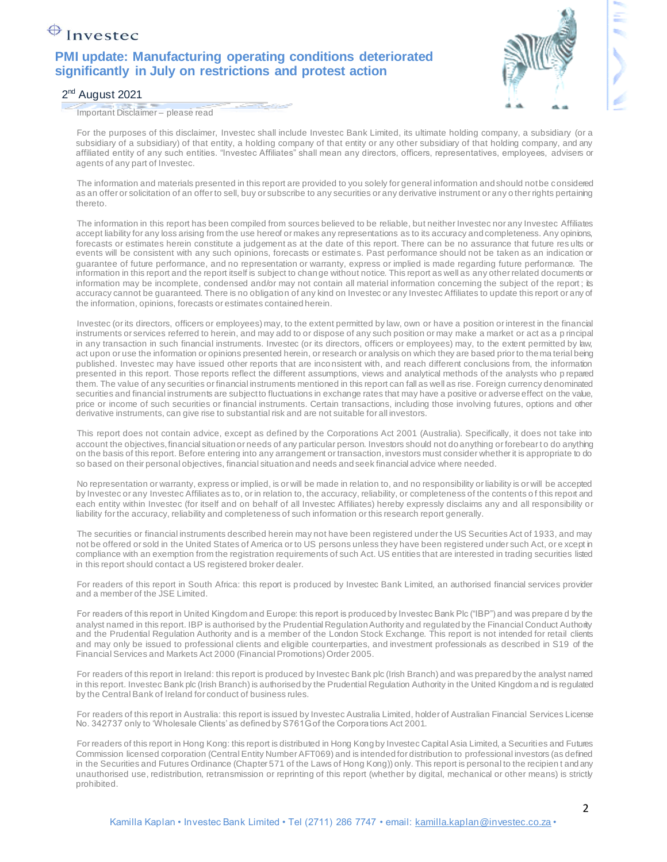# $\bigoplus$  Investec

### **PMI update: Manufacturing operating conditions deteriorated significantly in July on restrictions and protest action**



#### 2<sup>nd</sup> August 2021

Important Disclaimer – please read

For the purposes of this disclaimer, Investec shall include Investec Bank Limited, its ultimate holding company, a subsidiary (or a subsidiary of a subsidiary) of that entity, a holding company of that entity or any other subsidiary of that holding company, and any affiliated entity of any such entities. "Investec Affiliates" shall mean any directors, officers, representatives, employees, advisers or agents of any part of Investec.

The information and materials presented in this report are provided to you solely for general information and should not be considered as an offer or solicitation of an offer to sell, buy or subscribe to any securities or any derivative instrument or any o ther rights pertaining thereto.

The information in this report has been compiled from sources believed to be reliable, but neither Investec nor any Investec Affiliates accept liability for any loss arising from the use hereof or makes any representations as to its accuracy and completeness. Any opinions, forecasts or estimates herein constitute a judgement as at the date of this report. There can be no assurance that future res ults or events will be consistent with any such opinions, forecasts or estimates. Past performance should not be taken as an indication or guarantee of future performance, and no representation or warranty, express or implied is made regarding future performance. The information in this report and the report itself is subject to change without notice. This report as well as any other related documents or information may be incomplete, condensed and/or may not contain all material information concerning the subject of the report; its accuracy cannot be guaranteed. There is no obligation of any kind on Investec or any Investec Affiliates to update this report or any of the information, opinions, forecasts or estimates contained herein.

Investec (or its directors, officers or employees) may, to the extent permitted by law, own or have a position or interest in the financial instruments or services referred to herein, and may add to or dispose of any such position or may make a market or act as a p rincipal in any transaction in such financial instruments. Investec (or its directors, officers or employees) may, to the extent permitted by law, act upon or use the information or opinions presented herein, or research or analysis on which they are based prior to the ma terial being published. Investec may have issued other reports that are inconsistent with, and reach different conclusions from, the information presented in this report. Those reports reflect the different assumptions, views and analytical methods of the analysts who p repared them. The value of any securities or financial instruments mentioned in this report can fall as well as rise. Foreign currency denominated securities and financial instruments are subject to fluctuations in exchange rates that may have a positive or adverse effect on the value, price or income of such securities or financial instruments. Certain transactions, including those involving futures, options and other derivative instruments, can give rise to substantial risk and are not suitable for all investors.

This report does not contain advice, except as defined by the Corporations Act 2001 (Australia). Specifically, it does not take into account the objectives, financial situation or needs of any particular person. Investors should not do anything or forebear to do anything on the basis of this report. Before entering into any arrangement or transaction, investors must consider whether it is appropriate to do so based on their personal objectives, financial situation and needs and seek financial advice where needed.

No representation or warranty, express or implied, is or will be made in relation to, and no responsibility or liability is or will be accepted by Investec or any Investec Affiliates as to, or in relation to, the accuracy, reliability, or completeness of the contents o f this report and each entity within Investec (for itself and on behalf of all Investec Affiliates) hereby expressly disclaims any and all responsibility or liability for the accuracy, reliability and completeness of such information or this research report generally.

The securities or financial instruments described herein may not have been registered under the US Securities Act of 1933, and may not be offered or sold in the United States of America or to US persons unless they have been registered under such Act, or e xcept in compliance with an exemption from the registration requirements of such Act. US entities that are interested in trading securities listed in this report should contact a US registered broker dealer.

For readers of this report in South Africa: this report is produced by Investec Bank Limited, an authorised financial services provider and a member of the JSE Limited.

For readers of this report in United Kingdom and Europe: this report is produced by Investec Bank Plc ("IBP") and was prepare d by the analyst named in this report. IBP is authorised by the Prudential Regulation Authority and regulated by the Financial Conduct Authority and the Prudential Regulation Authority and is a member of the London Stock Exchange. This report is not intended for retail clients and may only be issued to professional clients and eligible counterparties, and investment professionals as described in S19 of the Financial Services and Markets Act 2000 (Financial Promotions) Order 2005.

For readers of this report in Ireland: this report is produced by Investec Bank plc (Irish Branch) and was prepared by the analyst named in this report. Investec Bank plc (Irish Branch) is authorised by the Prudential Regulation Authority in the United Kingdom a nd is regulated by the Central Bank of Ireland for conduct of business rules.

For readers of this report in Australia: this report is issued by Investec Australia Limited, holder of Australian Financial Services License No. 342737 only to 'Wholesale Clients' as defined by S761G of the Corporations Act 2001.

For readers of this report in Hong Kong: this report is distributed in Hong Kong by Investec Capital Asia Limited, a Securities and Futures Commission licensed corporation (Central Entity Number AFT069) and is intended for distribution to professional investors (as defined in the Securities and Futures Ordinance (Chapter 571 of the Laws of Hong Kong)) only. This report is personal to the recipien t and any unauthorised use, redistribution, retransmission or reprinting of this report (whether by digital, mechanical or other means) is strictly prohibited.